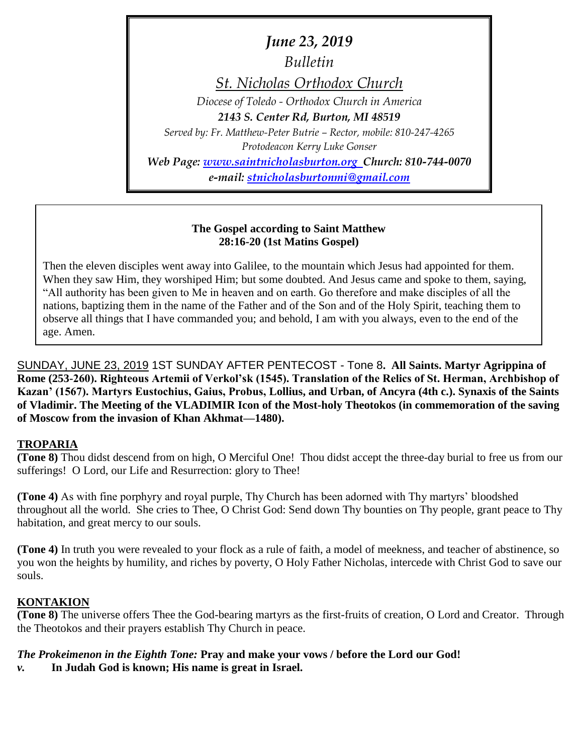*June 23, 2019*

*Bulletin*

*St. Nicholas Orthodox Church*

*Diocese of Toledo - Orthodox Church in America*

*2143 S. Center Rd, Burton, MI 48519*

*Served by: Fr. Matthew-Peter Butrie – Rector, mobile: 810-247-4265 Protodeacon Kerry Luke Gonser*

*Web Page: [www.saintnicholasburton.org](http://www.saintnicholasburton.org/) Church: 810-744-0070 e-mail: [stnicholasburtonmi@gmail.com](mailto:stnicholasburtonmi@gmail.com)*

## **The Gospel according to Saint Matthew 28:16-20 (1st Matins Gospel)**

Then the eleven disciples went away into Galilee, to the mountain which Jesus had appointed for them. When they saw Him, they worshiped Him; but some doubted. And Jesus came and spoke to them, saying, "All authority has been given to Me in heaven and on earth. Go therefore and make disciples of all the nations, baptizing them in the name of the Father and of the Son and of the Holy Spirit, teaching them to observe all things that I have commanded you; and behold, I am with you always, even to the end of the age. Amen.

SUNDAY, JUNE 23, 2019 1ST SUNDAY AFTER PENTECOST - Tone 8**. All Saints. Martyr Agrippina of Rome (253-260). Righteous Artemii of Verkol'sk (1545). Translation of the Relics of St. Herman, Archbishop of Kazan' (1567). Martyrs Eustochius, Gaius, Probus, Lollius, and Urban, of Ancyra (4th c.). Synaxis of the Saints of Vladimir. The Meeting of the VLADIMIR Icon of the Most-holy Theotokos (in commemoration of the saving of Moscow from the invasion of Khan Akhmat—1480).**

## **TROPARIA**

**(Tone 8)** Thou didst descend from on high, O Merciful One! Thou didst accept the three-day burial to free us from our sufferings! O Lord, our Life and Resurrection: glory to Thee!

**(Tone 4)** As with fine porphyry and royal purple, Thy Church has been adorned with Thy martyrs' bloodshed throughout all the world. She cries to Thee, O Christ God: Send down Thy bounties on Thy people, grant peace to Thy habitation, and great mercy to our souls.

**(Tone 4)** In truth you were revealed to your flock as a rule of faith, a model of meekness, and teacher of abstinence, so you won the heights by humility, and riches by poverty, O Holy Father Nicholas, intercede with Christ God to save our souls.

# **KONTAKION**

**(Tone 8)** The universe offers Thee the God-bearing martyrs as the first-fruits of creation, O Lord and Creator. Through the Theotokos and their prayers establish Thy Church in peace.

## *The Prokeimenon in the Eighth Tone:* **Pray and make your vows / before the Lord our God!**

*v.* **In Judah God is known; His name is great in Israel.**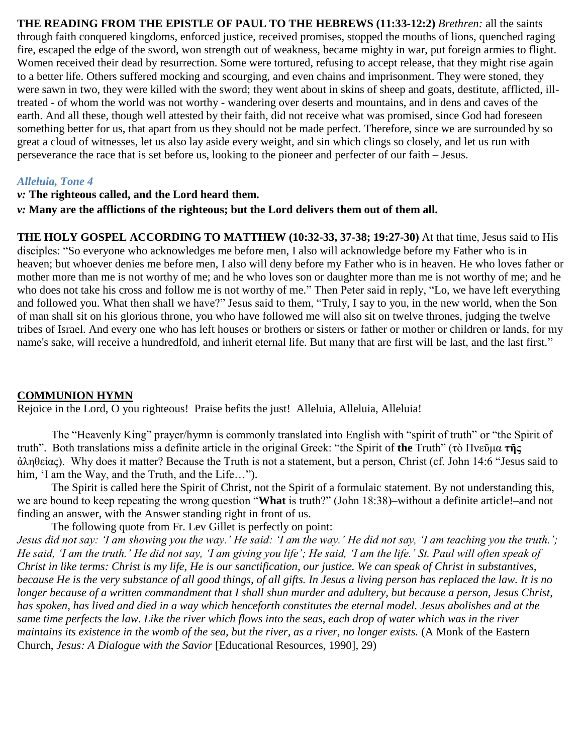**THE READING FROM THE EPISTLE OF PAUL TO THE HEBREWS (11:33-12:2)** *Brethren:* all the saints through faith conquered kingdoms, enforced justice, received promises, stopped the mouths of lions, quenched raging fire, escaped the edge of the sword, won strength out of weakness, became mighty in war, put foreign armies to flight. Women received their dead by resurrection. Some were tortured, refusing to accept release, that they might rise again to a better life. Others suffered mocking and scourging, and even chains and imprisonment. They were stoned, they were sawn in two, they were killed with the sword; they went about in skins of sheep and goats, destitute, afflicted, illtreated - of whom the world was not worthy - wandering over deserts and mountains, and in dens and caves of the earth. And all these, though well attested by their faith, did not receive what was promised, since God had foreseen something better for us, that apart from us they should not be made perfect. Therefore, since we are surrounded by so great a cloud of witnesses, let us also lay aside every weight, and sin which clings so closely, and let us run with perseverance the race that is set before us, looking to the pioneer and perfecter of our faith – Jesus.

#### *Alleluia, Tone 4*

#### *v:* **The righteous called, and the Lord heard them.**

*v:* **Many are the afflictions of the righteous; but the Lord delivers them out of them all.**

**THE HOLY GOSPEL ACCORDING TO MATTHEW (10:32-33, 37-38; 19:27-30)** At that time, Jesus said to His disciples: "So everyone who acknowledges me before men, I also will acknowledge before my Father who is in heaven; but whoever denies me before men, I also will deny before my Father who is in heaven. He who loves father or mother more than me is not worthy of me; and he who loves son or daughter more than me is not worthy of me; and he who does not take his cross and follow me is not worthy of me." Then Peter said in reply, "Lo, we have left everything and followed you. What then shall we have?" Jesus said to them, "Truly, I say to you, in the new world, when the Son of man shall sit on his glorious throne, you who have followed me will also sit on twelve thrones, judging the twelve tribes of Israel. And every one who has left houses or brothers or sisters or father or mother or children or lands, for my name's sake, will receive a hundredfold, and inherit eternal life. But many that are first will be last, and the last first."

#### **COMMUNION HYMN**

Rejoice in the Lord, O you righteous! Praise befits the just! Alleluia, Alleluia, Alleluia!

The "Heavenly King" prayer/hymn is commonly translated into English with "spirit of truth" or "the Spirit of truth". Both translations miss a definite article in the original Greek: "the Spirit of **the** Truth" (τὸ Πνεῦμα **τῆς** ἀληθείας). Why does it matter? Because the Truth is not a statement, but a person, Christ (cf. John 14:6 "Jesus said to him, 'I am the Way, and the Truth, and the Life…").

The Spirit is called here the Spirit of Christ, not the Spirit of a formulaic statement. By not understanding this, we are bound to keep repeating the wrong question "**What** is truth?" (John 18:38)–without a definite article!–and not finding an answer, with the Answer standing right in front of us.

The following quote from Fr. Lev Gillet is perfectly on point:

*Jesus did not say: 'I am showing you the way.' He said: 'I am the way.' He did not say, 'I am teaching you the truth.'; He said, 'I am the truth.' He did not say, 'I am giving you life'; He said, 'I am the life.' St. Paul will often speak of Christ in like terms: Christ is my life, He is our sanctification, our justice. We can speak of Christ in substantives, because He is the very substance of all good things, of all gifts. In Jesus a living person has replaced the law. It is no longer because of a written commandment that I shall shun murder and adultery, but because a person, Jesus Christ, has spoken, has lived and died in a way which henceforth constitutes the eternal model. Jesus abolishes and at the same time perfects the law. Like the river which flows into the seas, each drop of water which was in the river maintains its existence in the womb of the sea, but the river, as a river, no longer exists.* (A Monk of the Eastern Church, *Jesus: A Dialogue with the Savior* [Educational Resources, 1990], 29)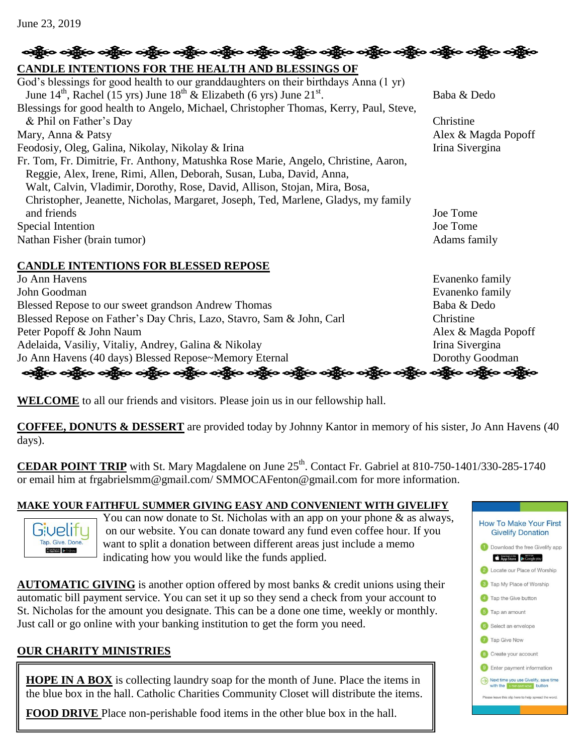### <del>လန္တိုး</del>၀ ခန္တို**း ခန္တိုေ ခန္တိုေ ခန္တိုေ ခန္တိုေ ခန္တိုေ** ခန္တိုေ ခန္တိုေ ခန္တိုေ **CANDLE INTENTIONS FOR THE HEALTH AND BLESSINGS OF**  God's blessings for good health to our granddaughters on their birthdays Anna (1 yr) June  $14^{\text{th}}$ , Rachel (15 yrs) June  $18^{\text{th}}$  & Elizabeth (6 yrs) June  $21^{\text{st}}$ . . Baba & Dedo Blessings for good health to Angelo, Michael, Christopher Thomas, Kerry, Paul, Steve, & Phil on Father's Day Christine Mary, Anna & Patsy Alex & Magda Popoff Feodosiy, Oleg, Galina, Nikolay, Nikolay & Irina Irina Irina Sivergina Fr. Tom, Fr. Dimitrie, Fr. Anthony, Matushka Rose Marie, Angelo, Christine, Aaron, Reggie, Alex, Irene, Rimi, Allen, Deborah, Susan, Luba, David, Anna, Walt, Calvin, Vladimir, Dorothy, Rose, David, Allison, Stojan, Mira, Bosa, Christopher, Jeanette, Nicholas, Margaret, Joseph, Ted, Marlene, Gladys, my family and friends Joe Tome Special Intention Joe Tome Nathan Fisher (brain tumor) Adams family **CANDLE INTENTIONS FOR BLESSED REPOSE** Jo Ann Havens Evanenko family John Goodman Evanenko family Blessed Repose to our sweet grandson Andrew Thomas Baba & Dedo Blessed Repose on Father's Day Chris, Lazo, Stavro, Sam & John, Carl Christine Peter Popoff & John Naum Alex & Magda Popoff Adelaida, Vasiliy, Vitaliy, Andrey, Galina & Nikolay Irina Sivergina Jo Ann Havens (40 days) Blessed Repose~Memory Eternal Dorothy Goodman ခရွို့လ ခရွို့လ ခရွို့လ ခရွို့လ ခရွို့လ ခရွို့လ ခရွို့လ ခရွို့လ ခရွို့လ ခရွို့လ ခရွို့လ ခရွို့လ ခရွို့လ ခရွို့လ

**WELCOME** to all our friends and visitors. Please join us in our fellowship hall.

**COFFEE, DONUTS & DESSERT** are provided today by Johnny Kantor in memory of his sister, Jo Ann Havens (40 days).

**CEDAR POINT TRIP** with St. Mary Magdalene on June  $25<sup>th</sup>$ . Contact Fr. Gabriel at  $810-750-1401/330-285-1740$ or email him at frgabrielsmm@gmail.com/ SMMOCAFenton@gmail.com for more information.

# **MAKE YOUR FAITHFUL SUMMER GIVING EASY AND CONVENIENT WITH GIVELIFY**



You can now donate to St. Nicholas with an app on your phone & as always, on our website. You can donate toward any fund even coffee hour. If you want to split a donation between different areas just include a memo indicating how you would like the funds applied.

**AUTOMATIC GIVING** is another option offered by most banks & credit unions using their automatic bill payment service. You can set it up so they send a check from your account to St. Nicholas for the amount you designate. This can be a done one time, weekly or monthly. Just call or go online with your banking institution to get the form you need.

# **OUR CHARITY MINISTRIES**

**HOPE IN A BOX** is collecting laundry soap for the month of June. Place the items in the blue box in the hall. Catholic Charities Community Closet will distribute the items.

**FOOD DRIVE** Place non-perishable food items in the other blue box in the hall.